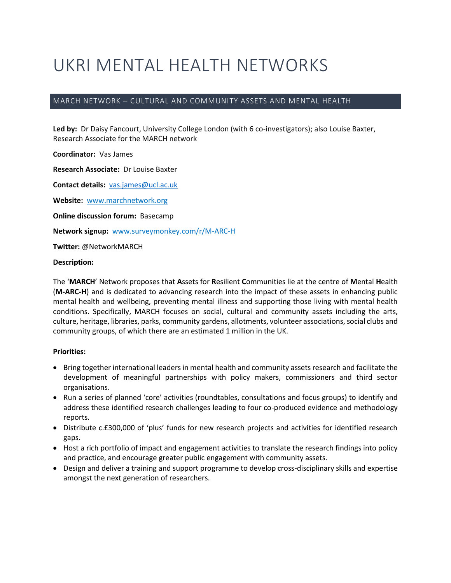# UKRI MENTAL HEALTH NETWORKS

# MARCH NETWORK – CULTURAL AND COMMUNITY ASSETS AND MENTAL HEALTH

**Led by:** Dr Daisy Fancourt, University College London (with 6 co-investigators); also Louise Baxter, Research Associate for the MARCH network

**Coordinator:** Vas James

**Research Associate:** Dr Louise Baxter

**Contact details:** [vas.james@ucl.ac.uk](mailto:vas.james@ucl.ac.uk)

**Website:** [www.marchnetwork.org](http://www.marchnetwork.org/)

**Online discussion forum:** Basecamp

**Network signup:** [www.surveymonkey.com/r/M-ARC-H](http://www.surveymonkey.com/r/M-ARC-H)

**Twitter:** @NetworkMARCH

**Description:** 

The '**MARCH**' Network proposes that **A**ssets for **R**esilient **C**ommunities lie at the centre of **M**ental **H**ealth (**M-ARC-H**) and is dedicated to advancing research into the impact of these assets in enhancing public mental health and wellbeing, preventing mental illness and supporting those living with mental health conditions. Specifically, MARCH focuses on social, cultural and community assets including the arts, culture, heritage, libraries, parks, community gardens, allotments, volunteer associations, social clubs and community groups, of which there are an estimated 1 million in the UK.

## **Priorities:**

- Bring together international leaders in mental health and community assets research and facilitate the development of meaningful partnerships with policy makers, commissioners and third sector organisations.
- Run a series of planned 'core' activities (roundtables, consultations and focus groups) to identify and address these identified research challenges leading to four co-produced evidence and methodology reports.
- Distribute c.£300,000 of 'plus' funds for new research projects and activities for identified research gaps.
- Host a rich portfolio of impact and engagement activities to translate the research findings into policy and practice, and encourage greater public engagement with community assets.
- Design and deliver a training and support programme to develop cross-disciplinary skills and expertise amongst the next generation of researchers.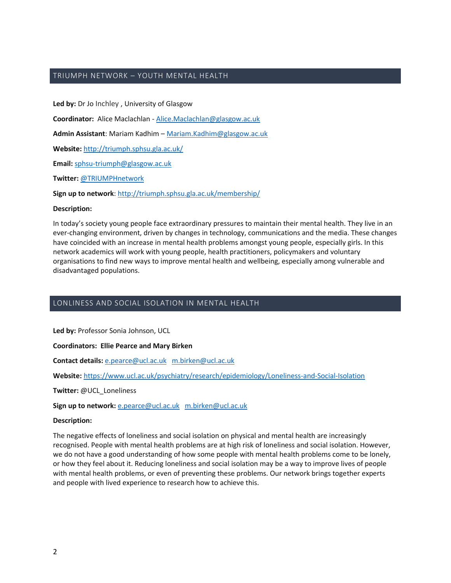## TRIUMPH NETWORK – YOUTH MENTAL HEALTH

**Led by:** Dr Jo Inchley , University of Glasgow **Coordinator:** Alice Maclachlan - [Alice.Maclachlan@glasgow.ac.uk](mailto:Alice.Maclachlan@glasgow.ac.uk) **Admin Assistant**: Mariam Kadhim – [Mariam.Kadhim@glasgow.ac.uk](mailto:Mariam.Kadhim@glasgow.ac.uk) **Website:** <http://triumph.sphsu.gla.ac.uk/> **Email:** [sphsu-triumph@glasgow.ac.uk](mailto:sphsu-triumph@glasgow.ac.uk)

**Twitter:** [@TRIUMPHnetwork](https://twitter.com/TRIUMPHnetwork)

**Sign up to network**:<http://triumph.sphsu.gla.ac.uk/membership/>

#### **Description:**

In today's society young people face extraordinary pressures to maintain their mental health. They live in an ever-changing environment, driven by changes in technology, communications and the media. These changes have coincided with an increase in mental health problems amongst young people, especially girls. In this network academics will work with young people, health practitioners, policymakers and voluntary organisations to find new ways to improve mental health and wellbeing, especially among vulnerable and disadvantaged populations.

## LONLINESS AND SOCIAL ISOLATION IN MENTAL HEALTH

**Led by:** Professor Sonia Johnson, UCL

**Coordinators: Ellie Pearce and Mary Birken**

**Contact details:** [e.pearce@ucl.ac.uk](mailto:e.pearce@ucl.ac.uk) [m.birken@ucl.ac.uk](mailto:m.birken@ucl.ac.uk)

**Website:** <https://www.ucl.ac.uk/psychiatry/research/epidemiology/Loneliness-and-Social-Isolation>

**Twitter:** @UCL\_Loneliness

**Sign up to network:** [e.pearce@ucl.ac.uk](mailto:e.pearce@ucl.ac.uk) [m.birken@ucl.ac.uk](mailto:m.birken@ucl.ac.uk)

#### **Description:**

The negative effects of loneliness and social isolation on physical and mental health are increasingly recognised. People with mental health problems are at high risk of loneliness and social isolation. However, we do not have a good understanding of how some people with mental health problems come to be lonely, or how they feel about it. Reducing loneliness and social isolation may be a way to improve lives of people with mental health problems, or even of preventing these problems. Our network brings together experts and people with lived experience to research how to achieve this.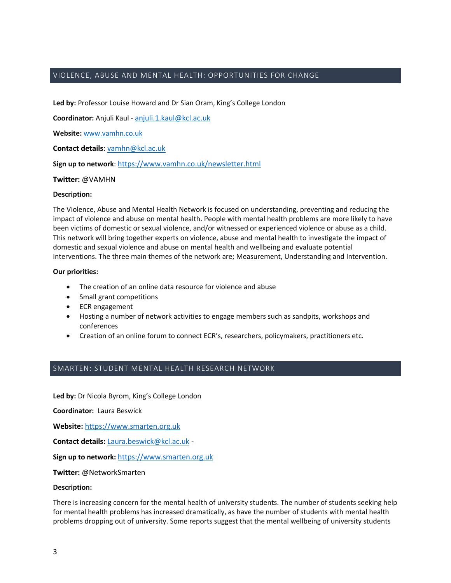## VIOLENCE, ABUSE AND MENTAL HEALTH: OPPORTUNITIES FOR CHANGE

**Led by:** Professor Louise Howard and Dr Sian Oram, King's College London

**Coordinator:** Anjuli Kaul - [anjuli.1.kaul@kcl.ac.uk](mailto:anjuli.1.kaul@kcl.ac.uk)

**Website:** [www.vamhn.co.uk](http://www.vamhn.co.uk/)

**Contact details**[: vamhn@kcl.ac.uk](mailto:vamhn@kcl.ac.uk)

Sign up to network: <https://www.vamhn.co.uk/newsletter.html>

**Twitter:** @VAMHN

#### **Description:**

The Violence, Abuse and Mental Health Network is focused on understanding, preventing and reducing the impact of violence and abuse on mental health. People with mental health problems are more likely to have been victims of domestic or sexual violence, and/or witnessed or experienced violence or abuse as a child. This network will bring together experts on violence, abuse and mental health to investigate the impact of domestic and sexual violence and abuse on mental health and wellbeing and evaluate potential interventions. The three main themes of the network are; Measurement, Understanding and Intervention.

### **Our priorities:**

- The creation of an online data resource for violence and abuse
- Small grant competitions
- ECR engagement
- Hosting a number of network activities to engage members such as sandpits, workshops and conferences
- Creation of an online forum to connect ECR's, researchers, policymakers, practitioners etc.

## SMARTEN: STUDENT MENTAL HEALTH RESEARCH NETWORK

**Led by:** Dr Nicola Byrom, King's College London

**Coordinator:** Laura Beswick

**Website:** [https://www.smarten.org.uk](https://www.smarten.org.uk/)

**Contact details:** [Laura.beswick@kcl.ac.uk](mailto:Laura.beswick@kcl.ac.uk) -

**Sign up to network:** [https://www.smarten.org.uk](https://www.smarten.org.uk/)

**Twitter:** @NetworkSmarten

#### **Description:**

There is increasing concern for the mental health of university students. The number of students seeking help for mental health problems has increased dramatically, as have the number of students with mental health problems dropping out of university. Some reports suggest that the mental wellbeing of university students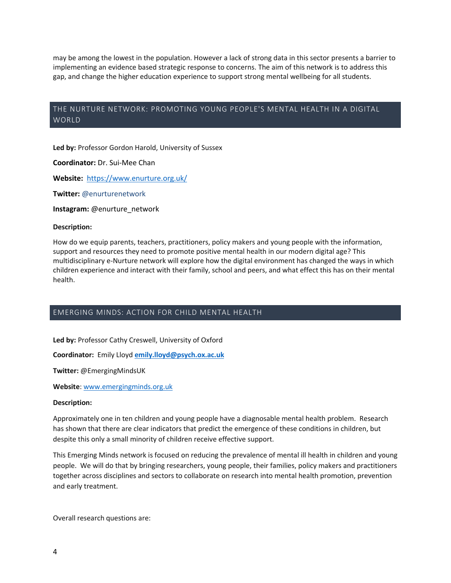may be among the lowest in the population. However a lack of strong data in this sector presents a barrier to implementing an evidence based strategic response to concerns. The aim of this network is to address this gap, and change the higher education experience to support strong mental wellbeing for all students.

# THE NURTURE NETWORK: PROMOTING YOUNG PEOPLE'S MENTAL HEALTH IN A DIGITAL WORLD

**Led by:** Professor Gordon Harold, University of Sussex

**Coordinator:** Dr. Sui-Mee Chan

**Website:** <https://www.enurture.org.uk/>

**Twitter:** @enurturenetwork

**Instagram:** @enurture\_network

#### **Description:**

How do we equip parents, teachers, practitioners, policy makers and young people with the information, support and resources they need to promote positive mental health in our modern digital age? This multidisciplinary e-Nurture network will explore how the digital environment has changed the ways in which children experience and interact with their family, school and peers, and what effect this has on their mental health.

# EMERGING MINDS: ACTION FOR CHILD MENTAL HEALTH

**Led by:** Professor Cathy Creswell, University of Oxford

**Coordinator:** Emily Lloyd **[emily.lloyd@psych.ox.ac.uk](mailto:emily.lloyd@psych.ox.ac.uk)**

**Twitter:** @EmergingMindsUK

**Website**[: www.emergingminds.org.uk](https://eur03.safelinks.protection.outlook.com/?url=http%3A%2F%2Fwww.emergingminds.org.uk&data=01%7C01%7Cali.hussain%40kcl.ac.uk%7Ce4c850391afc421e13e008d6cfcdbd13%7C8370cf1416f34c16b83c724071654356%7C0&sdata=%2BM1sNfV1fEu8fyYALSKbtjhOJYnJI45JhMQxem1iHTM%3D&reserved=0)

#### **Description:**

Approximately one in ten children and young people have a diagnosable mental health problem. Research has shown that there are clear indicators that predict the emergence of these conditions in children, but despite this only a small minority of children receive effective support.

This Emerging Minds network is focused on reducing the prevalence of mental ill health in children and young people. We will do that by bringing researchers, young people, their families, policy makers and practitioners together across disciplines and sectors to collaborate on research into mental health promotion, prevention and early treatment.

Overall research questions are: